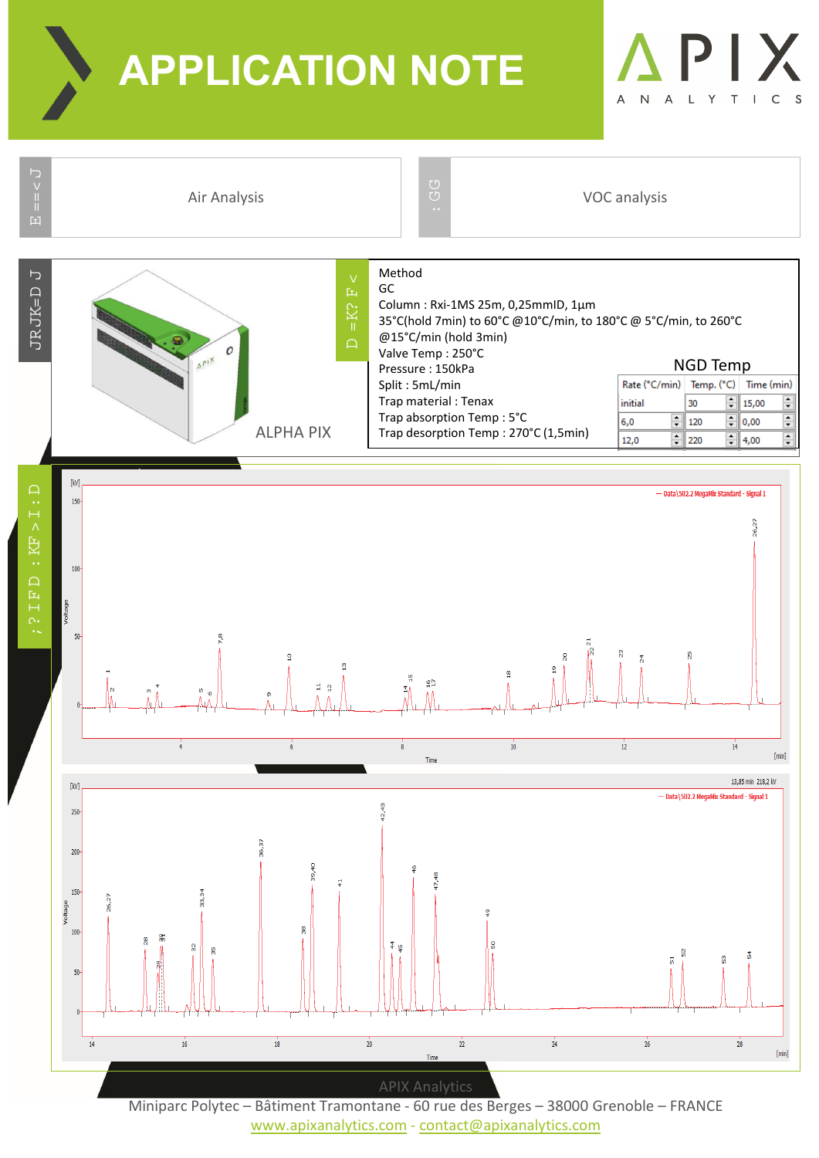**APPLICATION NOTE**





www.apixanalytics.com ‐ contact@apixanalytics.com